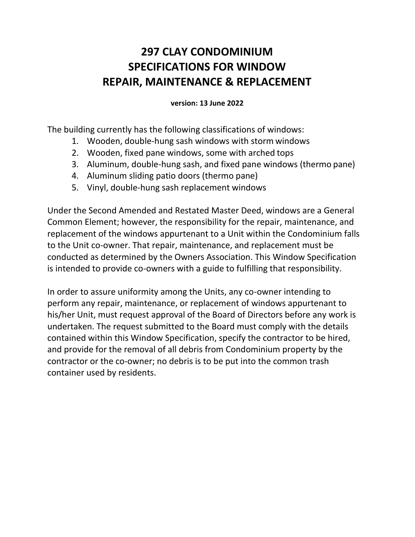# **297 CLAY CONDOMINIUM SPECIFICATIONS FOR WINDOW REPAIR, MAINTENANCE & REPLACEMENT**

**version: 13 June 2022**

The building currently has the following classifications of windows:

- 1. Wooden, double-hung sash windows with storm windows
- 2. Wooden, fixed pane windows, some with arched tops
- 3. Aluminum, double-hung sash, and fixed pane windows (thermo pane)
- 4. Aluminum sliding patio doors (thermo pane)
- 5. Vinyl, double-hung sash replacement windows

Under the Second Amended and Restated Master Deed, windows are a General Common Element; however, the responsibility for the repair, maintenance, and replacement of the windows appurtenant to a Unit within the Condominium falls to the Unit co-owner. That repair, maintenance, and replacement must be conducted as determined by the Owners Association. This Window Specification is intended to provide co-owners with a guide to fulfilling that responsibility.

In order to assure uniformity among the Units, any co-owner intending to perform any repair, maintenance, or replacement of windows appurtenant to his/her Unit, must request approval of the Board of Directors before any work is undertaken. The request submitted to the Board must comply with the details contained within this Window Specification, specify the contractor to be hired, and provide for the removal of all debris from Condominium property by the contractor or the co-owner; no debris is to be put into the common trash container used by residents.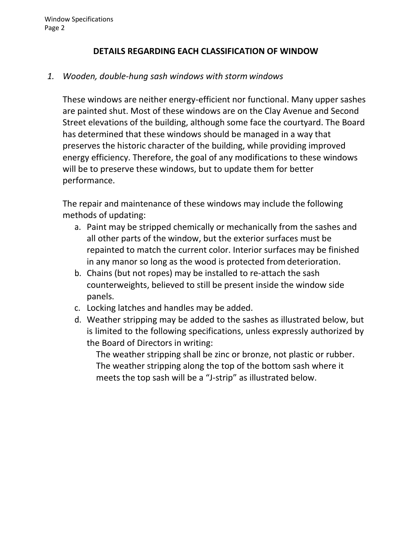## **DETAILS REGARDING EACH CLASSIFICATION OF WINDOW**

## *1. Wooden, double-hung sash windows with storm windows*

These windows are neither energy-efficient nor functional. Many upper sashes are painted shut. Most of these windows are on the Clay Avenue and Second Street elevations of the building, although some face the courtyard. The Board has determined that these windows should be managed in a way that preserves the historic character of the building, while providing improved energy efficiency. Therefore, the goal of any modifications to these windows will be to preserve these windows, but to update them for better performance.

The repair and maintenance of these windows may include the following methods of updating:

- a. Paint may be stripped chemically or mechanically from the sashes and all other parts of the window, but the exterior surfaces must be repainted to match the current color. Interior surfaces may be finished in any manor so long as the wood is protected fromdeterioration.
- b. Chains (but not ropes) may be installed to re-attach the sash counterweights, believed to still be present inside the window side panels.
- c. Locking latches and handles may be added.
- d. Weather stripping may be added to the sashes as illustrated below, but is limited to the following specifications, unless expressly authorized by the Board of Directors in writing:

The weather stripping shall be zinc or bronze, not plastic or rubber. The weather stripping along the top of the bottom sash where it meets the top sash will be a "J-strip" as illustrated below.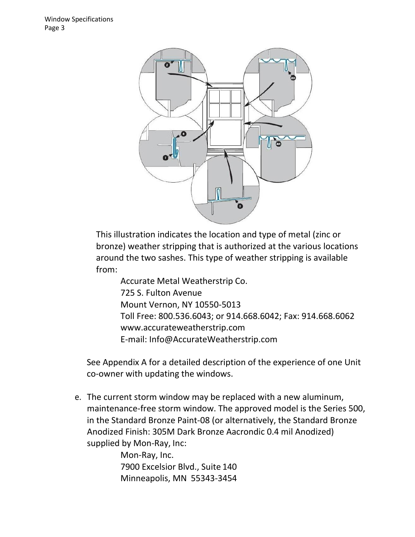

This illustration indicates the location and type of metal (zinc or bronze) weather stripping that is authorized at the various locations around the two sashes. This type of weather stripping is available from:

Accurate Metal Weatherstrip Co. 725 S. Fulton Avenue Mount Vernon, NY 10550-5013 Toll Free: 800.536.6043; or 914.668.6042; Fax: 914.668.6062 [www.accurateweatherstrip.com](http://www.accurateweatherstrip.com/) E-mail: [Info@AccurateWeatherstrip.com](mailto:Info@AccurateWeatherstrip.com)

See Appendix A for a detailed description of the experience of one Unit co-owner with updating the windows.

e. The current storm window may be replaced with a new aluminum, maintenance-free storm window. The approved model is the Series 500, in the Standard Bronze Paint-08 (or alternatively, the Standard Bronze Anodized Finish: 305M Dark Bronze Aacrondic 0.4 mil Anodized) supplied by Mon-Ray, Inc:

> Mon-Ray, Inc. 7900 Excelsior Blvd., Suite 140 Minneapolis, MN 55343-3454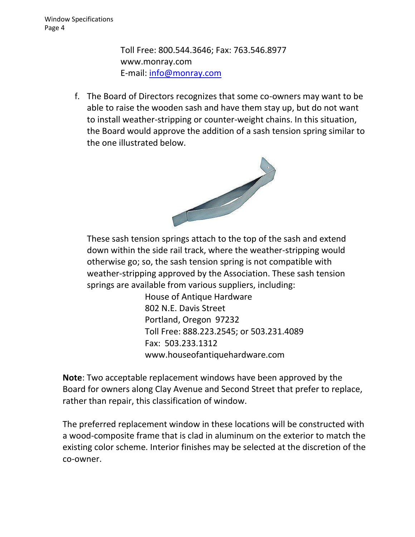Toll Free: 800.544.3646; Fax: 763.546.8977 [www.monray.com](http://www.monray.com/) E-mail: [info@monray.com](mailto:info@monray.com)

f. The Board of Directors recognizes that some co-owners may want to be able to raise the wooden sash and have them stay up, but do not want to install weather-stripping or counter-weight chains. In this situation, the Board would approve the addition of a sash tension spring similar to the one illustrated below.



These sash tension springs attach to the top of the sash and extend down within the side rail track, where the weather-stripping would otherwise go; so, the sash tension spring is not compatible with weather-stripping approved by the Association. These sash tension springs are available from various suppliers, including:

> House of Antique Hardware 802 N.E. Davis Street Portland, Oregon 97232 Toll Free: 888.223.2545; or 503.231.4089 Fax: 503.233.1312 [www.houseofantiquehardware.com](http://www.houseofantiquehardware.com/)

**Note**: Two acceptable replacement windows have been approved by the Board for owners along Clay Avenue and Second Street that prefer to replace, rather than repair, this classification of window.

The preferred replacement window in these locations will be constructed with a wood-composite frame that is clad in aluminum on the exterior to match the existing color scheme. Interior finishes may be selected at the discretion of the co-owner.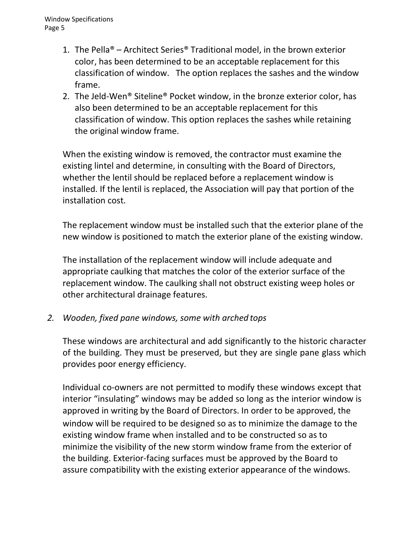- 1. The Pella® Architect Series® Traditional model, in the brown exterior color, has been determined to be an acceptable replacement for this classification of window. The option replaces the sashes and the window frame.
- 2. The Jeld-Wen® Siteline® Pocket window, in the bronze exterior color, has also been determined to be an acceptable replacement for this classification of window. This option replaces the sashes while retaining the original window frame.

When the existing window is removed, the contractor must examine the existing lintel and determine, in consulting with the Board of Directors, whether the lentil should be replaced before a replacement window is installed. If the lentil is replaced, the Association will pay that portion of the installation cost.

The replacement window must be installed such that the exterior plane of the new window is positioned to match the exterior plane of the existing window.

The installation of the replacement window will include adequate and appropriate caulking that matches the color of the exterior surface of the replacement window. The caulking shall not obstruct existing weep holes or other architectural drainage features.

*2. Wooden, fixed pane windows, some with arched tops*

These windows are architectural and add significantly to the historic character of the building. They must be preserved, but they are single pane glass which provides poor energy efficiency.

Individual co-owners are not permitted to modify these windows except that interior "insulating" windows may be added so long as the interior window is approved in writing by the Board of Directors. In order to be approved, the window will be required to be designed so as to minimize the damage to the existing window frame when installed and to be constructed so as to minimize the visibility of the new storm window frame from the exterior of the building. Exterior-facing surfaces must be approved by the Board to assure compatibility with the existing exterior appearance of the windows.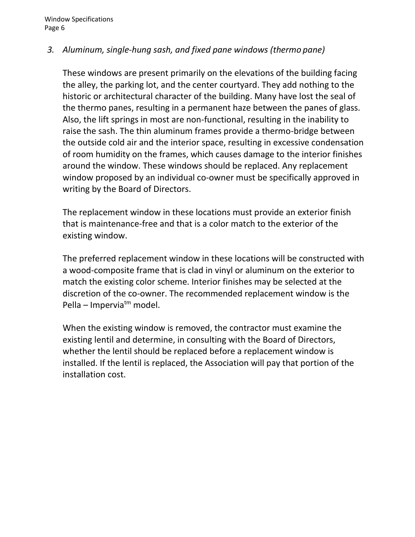# *3. Aluminum, single-hung sash, and fixed pane windows (thermo pane)*

These windows are present primarily on the elevations of the building facing the alley, the parking lot, and the center courtyard. They add nothing to the historic or architectural character of the building. Many have lost the seal of the thermo panes, resulting in a permanent haze between the panes of glass. Also, the lift springs in most are non-functional, resulting in the inability to raise the sash. The thin aluminum frames provide a thermo-bridge between the outside cold air and the interior space, resulting in excessive condensation of room humidity on the frames, which causes damage to the interior finishes around the window. These windows should be replaced. Any replacement window proposed by an individual co-owner must be specifically approved in writing by the Board of Directors.

The replacement window in these locations must provide an exterior finish that is maintenance-free and that is a color match to the exterior of the existing window.

The preferred replacement window in these locations will be constructed with a wood-composite frame that is clad in vinyl or aluminum on the exterior to match the existing color scheme. Interior finishes may be selected at the discretion of the co-owner. The recommended replacement window is the Pella – Imperviatm model.

When the existing window is removed, the contractor must examine the existing lentil and determine, in consulting with the Board of Directors, whether the lentil should be replaced before a replacement window is installed. If the lentil is replaced, the Association will pay that portion of the installation cost.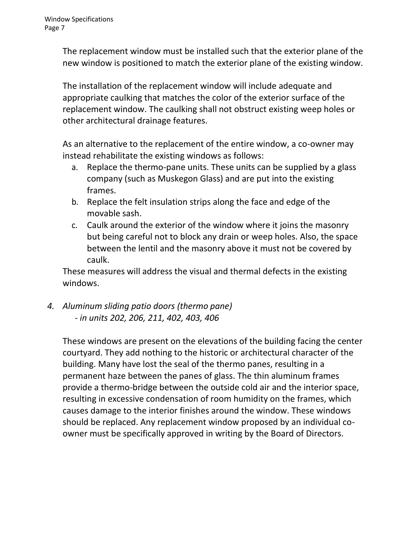The replacement window must be installed such that the exterior plane of the new window is positioned to match the exterior plane of the existing window.

The installation of the replacement window will include adequate and appropriate caulking that matches the color of the exterior surface of the replacement window. The caulking shall not obstruct existing weep holes or other architectural drainage features.

As an alternative to the replacement of the entire window, a co-owner may instead rehabilitate the existing windows as follows:

- a. Replace the thermo-pane units. These units can be supplied by a glass company (such as Muskegon Glass) and are put into the existing frames.
- b. Replace the felt insulation strips along the face and edge of the movable sash.
- c. Caulk around the exterior of the window where it joins the masonry but being careful not to block any drain or weep holes. Also, the space between the lentil and the masonry above it must not be covered by caulk.

These measures will address the visual and thermal defects in the existing windows.

*4. Aluminum sliding patio doors (thermo pane) - in units 202, 206, 211, 402, 403, 406*

These windows are present on the elevations of the building facing the center courtyard. They add nothing to the historic or architectural character of the building. Many have lost the seal of the thermo panes, resulting in a permanent haze between the panes of glass. The thin aluminum frames provide a thermo-bridge between the outside cold air and the interior space, resulting in excessive condensation of room humidity on the frames, which causes damage to the interior finishes around the window. These windows should be replaced. Any replacement window proposed by an individual coowner must be specifically approved in writing by the Board of Directors.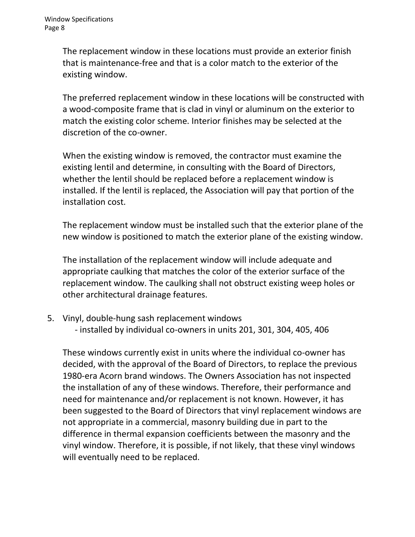The replacement window in these locations must provide an exterior finish that is maintenance-free and that is a color match to the exterior of the existing window.

The preferred replacement window in these locations will be constructed with a wood-composite frame that is clad in vinyl or aluminum on the exterior to match the existing color scheme. Interior finishes may be selected at the discretion of the co-owner.

When the existing window is removed, the contractor must examine the existing lentil and determine, in consulting with the Board of Directors, whether the lentil should be replaced before a replacement window is installed. If the lentil is replaced, the Association will pay that portion of the installation cost.

The replacement window must be installed such that the exterior plane of the new window is positioned to match the exterior plane of the existing window.

The installation of the replacement window will include adequate and appropriate caulking that matches the color of the exterior surface of the replacement window. The caulking shall not obstruct existing weep holes or other architectural drainage features.

- 5. Vinyl, double-hung sash replacement windows
	- installed by individual co-owners in units 201, 301, 304, 405, 406

These windows currently exist in units where the individual co-owner has decided, with the approval of the Board of Directors, to replace the previous 1980-era Acorn brand windows. The Owners Association has not inspected the installation of any of these windows. Therefore, their performance and need for maintenance and/or replacement is not known. However, it has been suggested to the Board of Directors that vinyl replacement windows are not appropriate in a commercial, masonry building due in part to the difference in thermal expansion coefficients between the masonry and the vinyl window. Therefore, it is possible, if not likely, that these vinyl windows will eventually need to be replaced.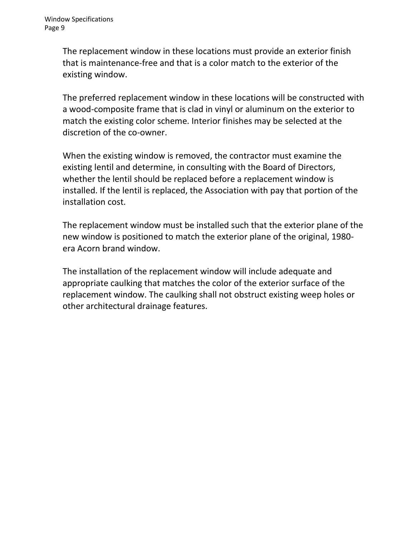The replacement window in these locations must provide an exterior finish that is maintenance-free and that is a color match to the exterior of the existing window.

The preferred replacement window in these locations will be constructed with a wood-composite frame that is clad in vinyl or aluminum on the exterior to match the existing color scheme. Interior finishes may be selected at the discretion of the co-owner.

When the existing window is removed, the contractor must examine the existing lentil and determine, in consulting with the Board of Directors, whether the lentil should be replaced before a replacement window is installed. If the lentil is replaced, the Association with pay that portion of the installation cost.

The replacement window must be installed such that the exterior plane of the new window is positioned to match the exterior plane of the original, 1980 era Acorn brand window.

The installation of the replacement window will include adequate and appropriate caulking that matches the color of the exterior surface of the replacement window. The caulking shall not obstruct existing weep holes or other architectural drainage features.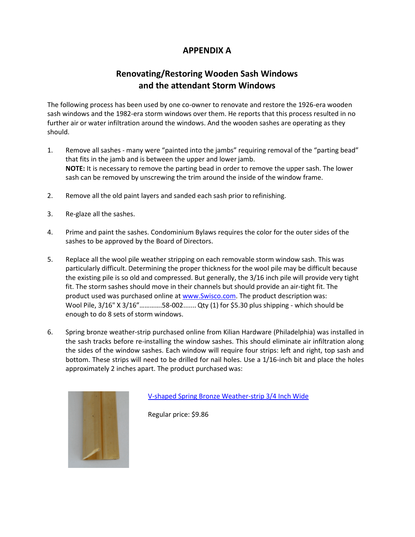# **APPENDIX A**

# **Renovating/Restoring Wooden Sash Windows and the attendant Storm Windows**

The following process has been used by one co-owner to renovate and restore the 1926-era wooden sash windows and the 1982-era storm windows over them. He reports that this process resulted in no further air or water infiltration around the windows. And the wooden sashes are operating as they should.

- 1. Remove all sashes many were "painted into the jambs" requiring removal of the "parting bead" that fits in the jamb and is between the upper and lower jamb. **NOTE:** It is necessary to remove the parting bead in order to remove the upper sash. The lower sash can be removed by unscrewing the trim around the inside of the window frame.
- 2. Remove all the old paint layers and sanded each sash prior to refinishing.
- 3. Re-glaze all the sashes.
- 4. Prime and paint the sashes. Condominium Bylaws requires the color for the outer sides of the sashes to be approved by the Board of Directors.
- 5. Replace all the wool pile weather stripping on each removable storm window sash. This was particularly difficult. Determining the proper thickness for the wool pile may be difficult because the existing pile is so old and compressed. But generally, the 3/16 inch pile will provide very tight fit. The storm sashes should move in their channels but should provide an air-tight fit. The product used was purchased online at [www.Swisco.com.](http://www.swisco.com/) The product description was: Wool Pile, 3/16" X 3/16"………….58-002.......Qty (1) for \$5.30 plus shipping - which should be enough to do 8 sets of storm windows.
- 6. Spring bronze weather-strip purchased online from Kilian Hardware (Philadelphia) was installed in the sash tracks before re-installing the window sashes. This should eliminate air infiltration along the sides of the window sashes. Each window will require four strips: left and right, top sash and bottom. These strips will need to be drilled for nail holes. Use a 1/16-inch bit and place the holes approximately 2 inches apart. The product purchased was:



[V-shaped Spring Bronze Weather-strip](http://www.kilianhardware.com/vspbrwe34inw.html) 3/4 Inch Wide

Regular price: \$9.86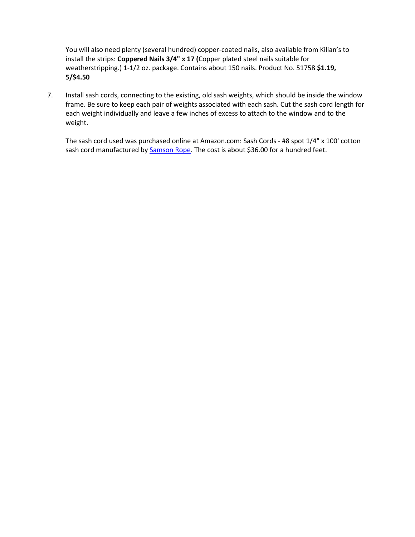You will also need plenty (several hundred) copper-coated nails, also available from Kilian's to install the strips: **Coppered Nails 3/4" x 17 (**Copper plated steel nails suitable for weatherstripping.) 1-1/2 oz. package. Contains about 150 nails. Product No. 51758 **\$1.19, 5/\$4.50**

7. Install sash cords, connecting to the existing, old sash weights, which should be inside the window frame. Be sure to keep each pair of weights associated with each sash. Cut the sash cord length for each weight individually and leave a few inches of excess to attach to the window and to the weight.

The sash cord used was purchased online at Amazon.com: Sash Cords - #8 spot 1/4" x 100' cotton sash cord manufactured by **Samson Rope**. The cost is about \$36.00 for a hundred feet.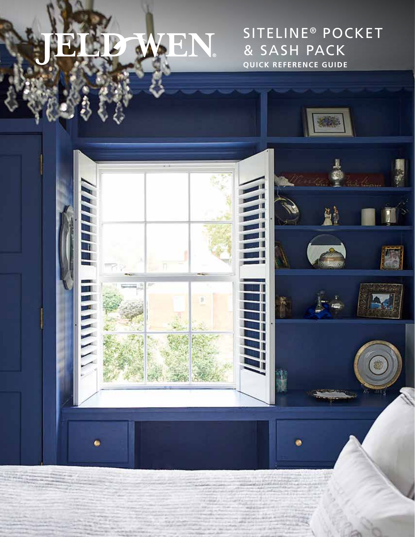# **JEN.**

SITELINE<sup>®</sup> POCKET & SASH PACK **QUICK REFERENCE GUIDE**

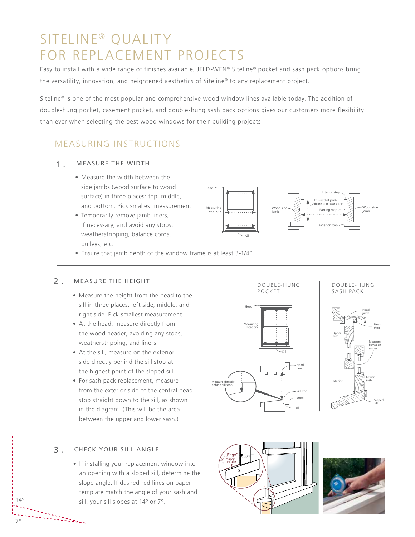# SITELINE<sup>®</sup> QUALITY FOR REPLACEMENT PROJECTS

Easy to install with a wide range of finishes available, JELD-WEN® Siteline® pocket and sash pack options bring the versatility, innovation, and heightened aesthetics of Siteline® to any replacement project.

Siteline® is one of the most popular and comprehensive wood window lines available today. The addition of double-hung pocket, casement pocket, and double-hung sash pack options gives our customers more flexibility than ever when selecting the best wood windows for their building projects.

# MEASURING INSTRUCTIONS

#### MEASURE THE WIDTH 1 .

- Measure the width between the side jambs (wood surface to wood surface) in three places: top, middle, and bottom. Pick smallest measurement.
- Temporarily remove jamb liners, if necessary, and avoid any stops, weatherstripping, balance cords, pulleys, etc.



Head jamb

sash

Sill

Sill stop Stool

Sill

• Ensure that jamb depth of the window frame is at least 3-1/4".

### MEASURE THE HEIGHT DOUBLE-HUNG  $2$ .

- the **POCKET** • Measure the height from the head to the sill in three places: left side, middle, and right side. Pick smallest measurement.  $h_{\text{max}}$  behind side of  $h_{\text{max}}$
- At the head, measure directly from **Example 2018** Measuring the wood header, avoiding any stops, weatherstripping, and liners.
- At the sill, measure on the exterior side directly behind the sill stop at the highest point of the sloped sill. Ensure that jamb
- · For sash pack replacement, measure from the exterior side of the central head stop straight down to the sill, as shown in the diagram. (This will be the area between the upper and lower sash.) depth is at least 3 1/4"

#### CHECK YOUR SILL ANGLE 3 .

7º

nder der Berger

• If installing your replacement window into an opening with a sloped sill, determine the slope angle. If dashed red lines on paper template match the angle of your sash and 14<sup>°</sup> sill, your sill slopes at 14<sup>°</sup> or 7<sup>°</sup>.



re i

Measure directly

locations

Head



Sloped

DOUBLE-HUNG SASH PACK

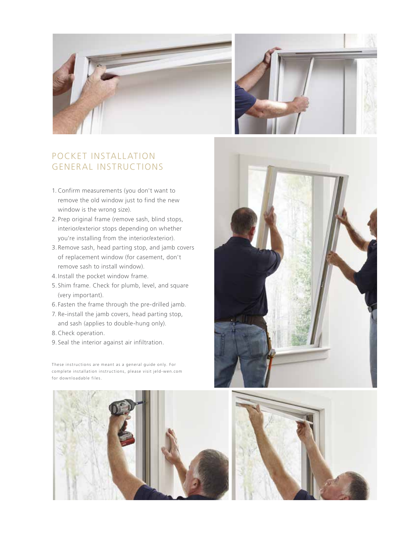



## POCKET INSTALLATION GENERAL INSTRUCTIONS

- 1. Confirm measurements (you don't want to remove the old window just to find the new window is the wrong size).
- 2. Prep original frame (remove sash, blind stops, interior/exterior stops depending on whether you're installing from the interior/exterior).
- 3. Remove sash, head parting stop, and jamb covers of replacement window (for casement, don't remove sash to install window).
- 4.Install the pocket window frame.
- 5. Shim frame. Check for plumb, level, and square (very important).
- 6. Fasten the frame through the pre-drilled jamb.
- 7. Re-install the jamb covers, head parting stop, and sash (applies to double-hung only).
- 8.Check operation.
- 9. Seal the interior against air infiltration.

These instructions are meant as a general guide only. For complete installation instructions, please visit jeld-wen.com for downloadable files.